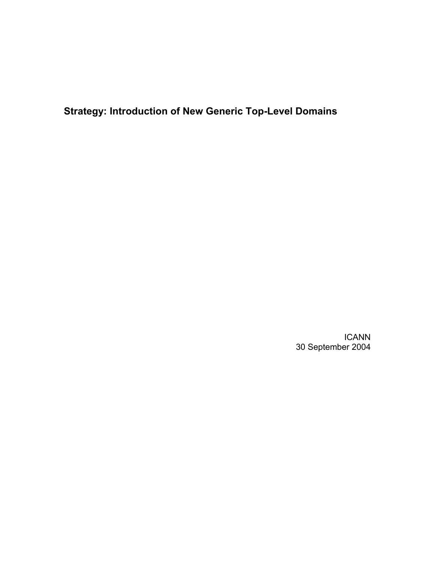**Strategy: Introduction of New Generic Top-Level Domains** 

ICANN 30 September 2004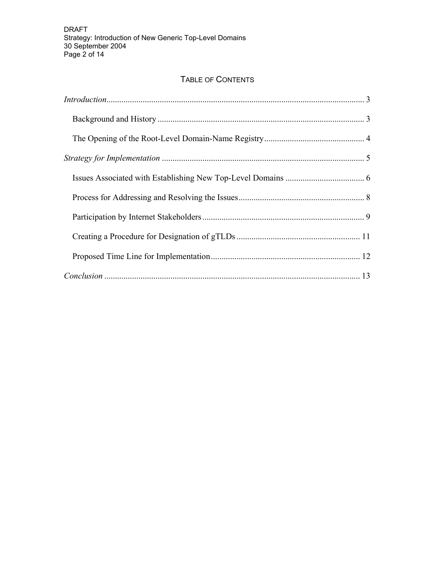# TABLE OF CONTENTS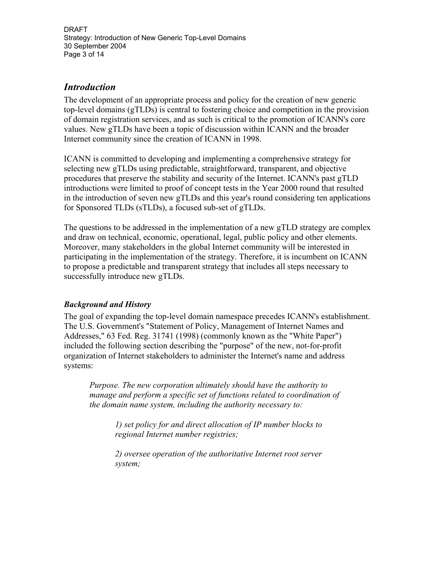DRAFT Strategy: Introduction of New Generic Top-Level Domains 30 September 2004 Page 3 of 14

## *Introduction*

The development of an appropriate process and policy for the creation of new generic top-level domains (gTLDs) is central to fostering choice and competition in the provision of domain registration services, and as such is critical to the promotion of ICANN's core values. New gTLDs have been a topic of discussion within ICANN and the broader Internet community since the creation of ICANN in 1998.

ICANN is committed to developing and implementing a comprehensive strategy for selecting new gTLDs using predictable, straightforward, transparent, and objective procedures that preserve the stability and security of the Internet. ICANN's past gTLD introductions were limited to proof of concept tests in the Year 2000 round that resulted in the introduction of seven new gTLDs and this year's round considering ten applications for Sponsored TLDs (sTLDs), a focused sub-set of gTLDs.

The questions to be addressed in the implementation of a new gTLD strategy are complex and draw on technical, economic, operational, legal, public policy and other elements. Moreover, many stakeholders in the global Internet community will be interested in participating in the implementation of the strategy. Therefore, it is incumbent on ICANN to propose a predictable and transparent strategy that includes all steps necessary to successfully introduce new gTLDs.

#### *Background and History*

The goal of expanding the top-level domain namespace precedes ICANN's establishment. The U.S. Government's "Statement of Policy, Management of Internet Names and Addresses," 63 Fed. Reg. 31741 (1998) (commonly known as the "White Paper") included the following section describing the "purpose" of the new, not-for-profit organization of Internet stakeholders to administer the Internet's name and address systems:

*Purpose. The new corporation ultimately should have the authority to manage and perform a specific set of functions related to coordination of the domain name system, including the authority necessary to:* 

> *1) set policy for and direct allocation of IP number blocks to regional Internet number registries;*

> *2) oversee operation of the authoritative Internet root server system;*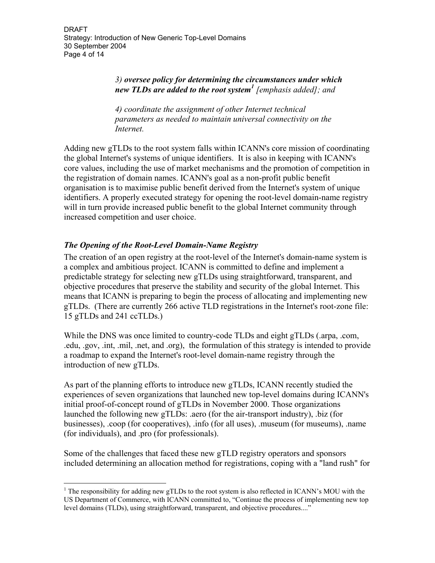#### *3) oversee policy for determining the circumstances under which new TLDs are added to the root system<sup>1</sup> [emphasis added]; and*

*4) coordinate the assignment of other Internet technical parameters as needed to maintain universal connectivity on the Internet.* 

Adding new gTLDs to the root system falls within ICANN's core mission of coordinating the global Internet's systems of unique identifiers. It is also in keeping with ICANN's core values, including the use of market mechanisms and the promotion of competition in the registration of domain names. ICANN's goal as a non-profit public benefit organisation is to maximise public benefit derived from the Internet's system of unique identifiers. A properly executed strategy for opening the root-level domain-name registry will in turn provide increased public benefit to the global Internet community through increased competition and user choice.

### *The Opening of the Root-Level Domain-Name Registry*

 $\overline{a}$ 

The creation of an open registry at the root-level of the Internet's domain-name system is a complex and ambitious project. ICANN is committed to define and implement a predictable strategy for selecting new gTLDs using straightforward, transparent, and objective procedures that preserve the stability and security of the global Internet. This means that ICANN is preparing to begin the process of allocating and implementing new gTLDs. (There are currently 266 active TLD registrations in the Internet's root-zone file: 15 gTLDs and 241 ccTLDs.)

While the DNS was once limited to country-code TLDs and eight gTLDs (.arpa, .com, .edu, .gov, .int, .mil, .net, and .org), the formulation of this strategy is intended to provide a roadmap to expand the Internet's root-level domain-name registry through the introduction of new gTLDs.

As part of the planning efforts to introduce new gTLDs, ICANN recently studied the experiences of seven organizations that launched new top-level domains during ICANN's initial proof-of-concept round of gTLDs in November 2000. Those organizations launched the following new gTLDs: .aero (for the air-transport industry), .biz (for businesses), .coop (for cooperatives), .info (for all uses), .museum (for museums), .name (for individuals), and .pro (for professionals).

Some of the challenges that faced these new gTLD registry operators and sponsors included determining an allocation method for registrations, coping with a "land rush" for

 $1$ <sup>1</sup> The responsibility for adding new gTLDs to the root system is also reflected in ICANN's MOU with the US Department of Commerce, with ICANN committed to, "Continue the process of implementing new top level domains (TLDs), using straightforward, transparent, and objective procedures...."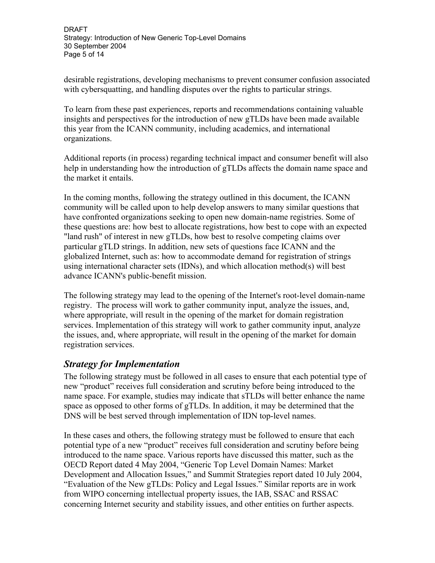desirable registrations, developing mechanisms to prevent consumer confusion associated with cybersquatting, and handling disputes over the rights to particular strings.

To learn from these past experiences, reports and recommendations containing valuable insights and perspectives for the introduction of new gTLDs have been made available this year from the ICANN community, including academics, and international organizations.

Additional reports (in process) regarding technical impact and consumer benefit will also help in understanding how the introduction of gTLDs affects the domain name space and the market it entails.

In the coming months, following the strategy outlined in this document, the ICANN community will be called upon to help develop answers to many similar questions that have confronted organizations seeking to open new domain-name registries. Some of these questions are: how best to allocate registrations, how best to cope with an expected "land rush" of interest in new gTLDs, how best to resolve competing claims over particular gTLD strings. In addition, new sets of questions face ICANN and the globalized Internet, such as: how to accommodate demand for registration of strings using international character sets (IDNs), and which allocation method(s) will best advance ICANN's public-benefit mission.

The following strategy may lead to the opening of the Internet's root-level domain-name registry. The process will work to gather community input, analyze the issues, and, where appropriate, will result in the opening of the market for domain registration services. Implementation of this strategy will work to gather community input, analyze the issues, and, where appropriate, will result in the opening of the market for domain registration services.

# *Strategy for Implementation*

The following strategy must be followed in all cases to ensure that each potential type of new "product" receives full consideration and scrutiny before being introduced to the name space. For example, studies may indicate that sTLDs will better enhance the name space as opposed to other forms of gTLDs. In addition, it may be determined that the DNS will be best served through implementation of IDN top-level names.

In these cases and others, the following strategy must be followed to ensure that each potential type of a new "product" receives full consideration and scrutiny before being introduced to the name space. Various reports have discussed this matter, such as the OECD Report dated 4 May 2004, "Generic Top Level Domain Names: Market Development and Allocation Issues," and Summit Strategies report dated 10 July 2004, "Evaluation of the New gTLDs: Policy and Legal Issues." Similar reports are in work from WIPO concerning intellectual property issues, the IAB, SSAC and RSSAC concerning Internet security and stability issues, and other entities on further aspects.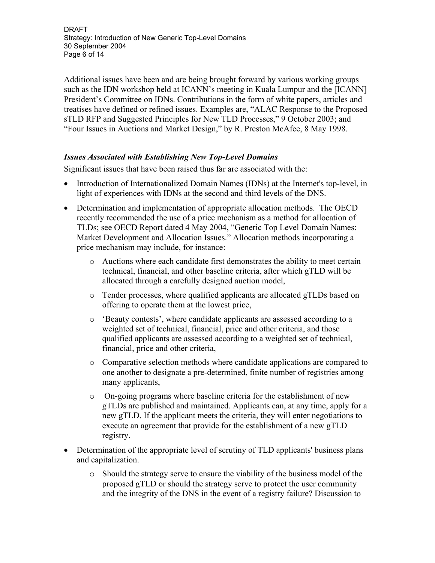DRAFT Strategy: Introduction of New Generic Top-Level Domains 30 September 2004 Page 6 of 14

Additional issues have been and are being brought forward by various working groups such as the IDN workshop held at ICANN's meeting in Kuala Lumpur and the [ICANN] President's Committee on IDNs. Contributions in the form of white papers, articles and treatises have defined or refined issues. Examples are, "ALAC Response to the Proposed sTLD RFP and Suggested Principles for New TLD Processes," 9 October 2003; and "Four Issues in Auctions and Market Design," by R. Preston McAfee, 8 May 1998.

#### *Issues Associated with Establishing New Top-Level Domains*

Significant issues that have been raised thus far are associated with the:

- Introduction of Internationalized Domain Names (IDNs) at the Internet's top-level, in light of experiences with IDNs at the second and third levels of the DNS.
- Determination and implementation of appropriate allocation methods. The OECD recently recommended the use of a price mechanism as a method for allocation of TLDs; see OECD Report dated 4 May 2004, "Generic Top Level Domain Names: Market Development and Allocation Issues." Allocation methods incorporating a price mechanism may include, for instance:
	- o Auctions where each candidate first demonstrates the ability to meet certain technical, financial, and other baseline criteria, after which gTLD will be allocated through a carefully designed auction model,
	- o Tender processes, where qualified applicants are allocated gTLDs based on offering to operate them at the lowest price,
	- o 'Beauty contests', where candidate applicants are assessed according to a weighted set of technical, financial, price and other criteria, and those qualified applicants are assessed according to a weighted set of technical, financial, price and other criteria,
	- o Comparative selection methods where candidate applications are compared to one another to designate a pre-determined, finite number of registries among many applicants,
	- o On-going programs where baseline criteria for the establishment of new gTLDs are published and maintained. Applicants can, at any time, apply for a new gTLD. If the applicant meets the criteria, they will enter negotiations to execute an agreement that provide for the establishment of a new gTLD registry.
- Determination of the appropriate level of scrutiny of TLD applicants' business plans and capitalization.
	- o Should the strategy serve to ensure the viability of the business model of the proposed gTLD or should the strategy serve to protect the user community and the integrity of the DNS in the event of a registry failure? Discussion to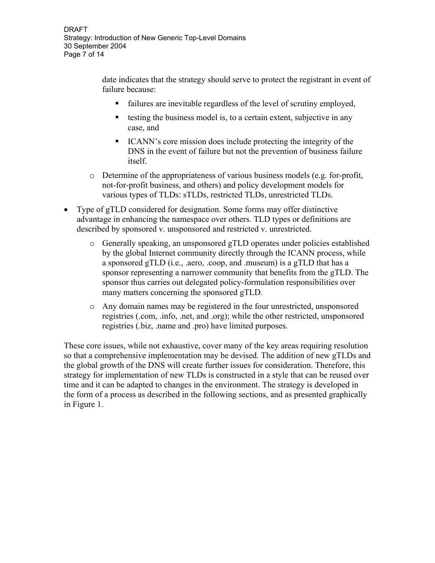date indicates that the strategy should serve to protect the registrant in event of failure because:

- failures are inevitable regardless of the level of scrutiny employed,
- testing the business model is, to a certain extent, subjective in any case, and
- ICANN's core mission does include protecting the integrity of the DNS in the event of failure but not the prevention of business failure itself.
- $\circ$  Determine of the appropriateness of various business models (e.g. for-profit, not-for-profit business, and others) and policy development models for various types of TLDs: sTLDs, restricted TLDs, unrestricted TLDs.
- Type of gTLD considered for designation. Some forms may offer distinctive advantage in enhancing the namespace over others. TLD types or definitions are described by sponsored v. unsponsored and restricted v. unrestricted.
	- o Generally speaking, an unsponsored gTLD operates under policies established by the global Internet community directly through the ICANN process, while a sponsored gTLD (i.e., .aero, .coop, and .museum) is a gTLD that has a sponsor representing a narrower community that benefits from the gTLD. The sponsor thus carries out delegated policy-formulation responsibilities over many matters concerning the sponsored gTLD.
	- o Any domain names may be registered in the four unrestricted, unsponsored registries (.com, .info, .net, and .org); while the other restricted, unsponsored registries (.biz, .name and .pro) have limited purposes.

These core issues, while not exhaustive, cover many of the key areas requiring resolution so that a comprehensive implementation may be devised. The addition of new gTLDs and the global growth of the DNS will create further issues for consideration. Therefore, this strategy for implementation of new TLDs is constructed in a style that can be reused over time and it can be adapted to changes in the environment. The strategy is developed in the form of a process as described in the following sections, and as presented graphically in Figure 1.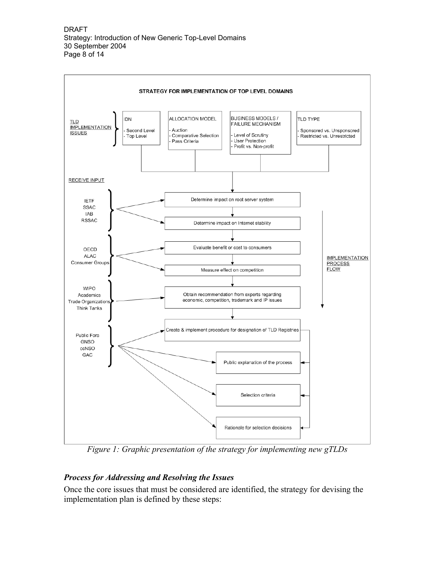

*Figure 1: Graphic presentation of the strategy for implementing new gTLDs*

# *Process for Addressing and Resolving the Issues*

Once the core issues that must be considered are identified, the strategy for devising the implementation plan is defined by these steps: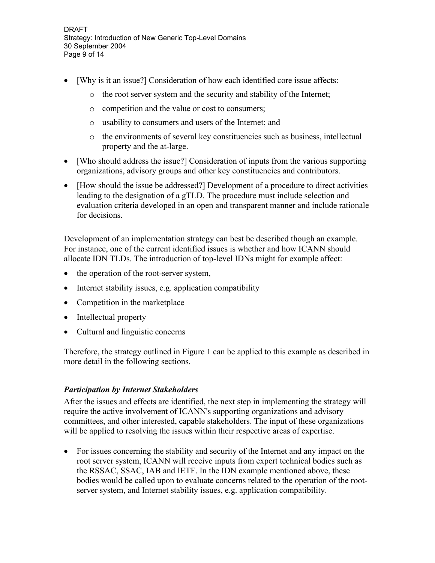DRAFT Strategy: Introduction of New Generic Top-Level Domains 30 September 2004 Page 9 of 14

- [Why is it an issue?] Consideration of how each identified core issue affects:
	- o the root server system and the security and stability of the Internet;
	- o competition and the value or cost to consumers;
	- o usability to consumers and users of the Internet; and
	- o the environments of several key constituencies such as business, intellectual property and the at-large.
- [Who should address the issue?] Consideration of inputs from the various supporting organizations, advisory groups and other key constituencies and contributors.
- [How should the issue be addressed?] Development of a procedure to direct activities leading to the designation of a gTLD. The procedure must include selection and evaluation criteria developed in an open and transparent manner and include rationale for decisions.

Development of an implementation strategy can best be described though an example. For instance, one of the current identified issues is whether and how ICANN should allocate IDN TLDs. The introduction of top-level IDNs might for example affect:

- the operation of the root-server system,
- Internet stability issues, e.g. application compatibility
- Competition in the marketplace
- Intellectual property
- Cultural and linguistic concerns

Therefore, the strategy outlined in Figure 1 can be applied to this example as described in more detail in the following sections.

#### *Participation by Internet Stakeholders*

After the issues and effects are identified, the next step in implementing the strategy will require the active involvement of ICANN's supporting organizations and advisory committees, and other interested, capable stakeholders. The input of these organizations will be applied to resolving the issues within their respective areas of expertise.

• For issues concerning the stability and security of the Internet and any impact on the root server system, ICANN will receive inputs from expert technical bodies such as the RSSAC, SSAC, IAB and IETF. In the IDN example mentioned above, these bodies would be called upon to evaluate concerns related to the operation of the rootserver system, and Internet stability issues, e.g. application compatibility.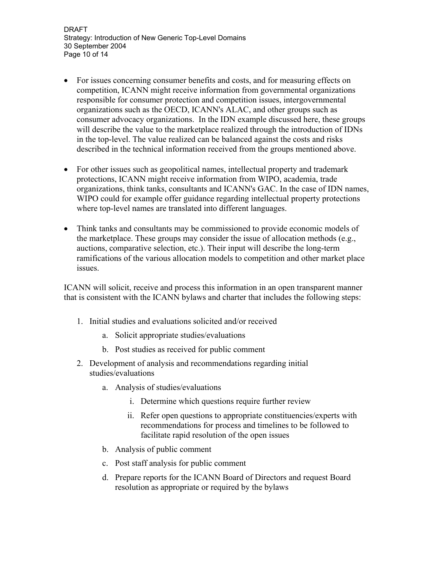DRAFT Strategy: Introduction of New Generic Top-Level Domains 30 September 2004 Page 10 of 14

- For issues concerning consumer benefits and costs, and for measuring effects on competition, ICANN might receive information from governmental organizations responsible for consumer protection and competition issues, intergovernmental organizations such as the OECD, ICANN's ALAC, and other groups such as consumer advocacy organizations. In the IDN example discussed here, these groups will describe the value to the marketplace realized through the introduction of IDNs in the top-level. The value realized can be balanced against the costs and risks described in the technical information received from the groups mentioned above.
- For other issues such as geopolitical names, intellectual property and trademark protections, ICANN might receive information from WIPO, academia, trade organizations, think tanks, consultants and ICANN's GAC. In the case of IDN names, WIPO could for example offer guidance regarding intellectual property protections where top-level names are translated into different languages.
- Think tanks and consultants may be commissioned to provide economic models of the marketplace. These groups may consider the issue of allocation methods (e.g., auctions, comparative selection, etc.). Their input will describe the long-term ramifications of the various allocation models to competition and other market place issues.

ICANN will solicit, receive and process this information in an open transparent manner that is consistent with the ICANN bylaws and charter that includes the following steps:

- 1. Initial studies and evaluations solicited and/or received
	- a. Solicit appropriate studies/evaluations
	- b. Post studies as received for public comment
- 2. Development of analysis and recommendations regarding initial studies/evaluations
	- a. Analysis of studies/evaluations
		- i. Determine which questions require further review
		- ii. Refer open questions to appropriate constituencies/experts with recommendations for process and timelines to be followed to facilitate rapid resolution of the open issues
	- b. Analysis of public comment
	- c. Post staff analysis for public comment
	- d. Prepare reports for the ICANN Board of Directors and request Board resolution as appropriate or required by the bylaws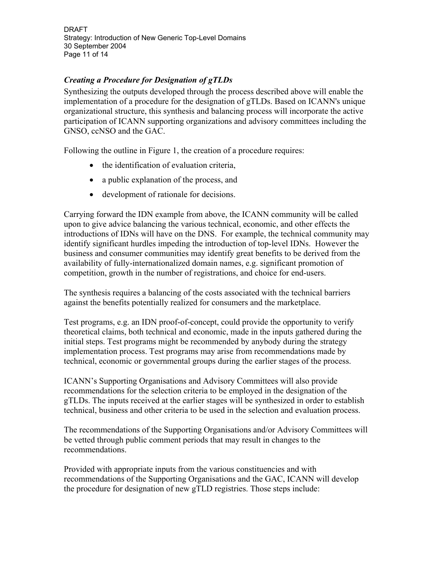DRAFT Strategy: Introduction of New Generic Top-Level Domains 30 September 2004 Page 11 of 14

### *Creating a Procedure for Designation of gTLDs*

Synthesizing the outputs developed through the process described above will enable the implementation of a procedure for the designation of gTLDs. Based on ICANN's unique organizational structure, this synthesis and balancing process will incorporate the active participation of ICANN supporting organizations and advisory committees including the GNSO, ccNSO and the GAC.

Following the outline in Figure 1, the creation of a procedure requires:

- the identification of evaluation criteria,
- a public explanation of the process, and
- development of rationale for decisions.

Carrying forward the IDN example from above, the ICANN community will be called upon to give advice balancing the various technical, economic, and other effects the introductions of IDNs will have on the DNS. For example, the technical community may identify significant hurdles impeding the introduction of top-level IDNs. However the business and consumer communities may identify great benefits to be derived from the availability of fully-internationalized domain names, e.g. significant promotion of competition, growth in the number of registrations, and choice for end-users.

The synthesis requires a balancing of the costs associated with the technical barriers against the benefits potentially realized for consumers and the marketplace.

Test programs, e.g. an IDN proof-of-concept, could provide the opportunity to verify theoretical claims, both technical and economic, made in the inputs gathered during the initial steps. Test programs might be recommended by anybody during the strategy implementation process. Test programs may arise from recommendations made by technical, economic or governmental groups during the earlier stages of the process.

ICANN's Supporting Organisations and Advisory Committees will also provide recommendations for the selection criteria to be employed in the designation of the gTLDs. The inputs received at the earlier stages will be synthesized in order to establish technical, business and other criteria to be used in the selection and evaluation process.

The recommendations of the Supporting Organisations and/or Advisory Committees will be vetted through public comment periods that may result in changes to the recommendations.

Provided with appropriate inputs from the various constituencies and with recommendations of the Supporting Organisations and the GAC, ICANN will develop the procedure for designation of new gTLD registries. Those steps include: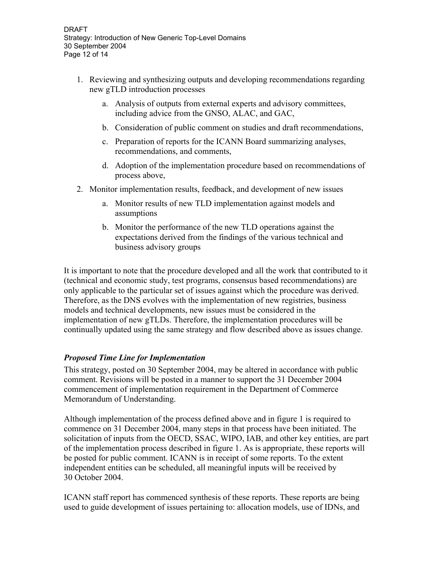- 1. Reviewing and synthesizing outputs and developing recommendations regarding new gTLD introduction processes
	- a. Analysis of outputs from external experts and advisory committees, including advice from the GNSO, ALAC, and GAC,
	- b. Consideration of public comment on studies and draft recommendations,
	- c. Preparation of reports for the ICANN Board summarizing analyses, recommendations, and comments,
	- d. Adoption of the implementation procedure based on recommendations of process above,
- 2. Monitor implementation results, feedback, and development of new issues
	- a. Monitor results of new TLD implementation against models and assumptions
	- b. Monitor the performance of the new TLD operations against the expectations derived from the findings of the various technical and business advisory groups

It is important to note that the procedure developed and all the work that contributed to it (technical and economic study, test programs, consensus based recommendations) are only applicable to the particular set of issues against which the procedure was derived. Therefore, as the DNS evolves with the implementation of new registries, business models and technical developments, new issues must be considered in the implementation of new gTLDs. Therefore, the implementation procedures will be continually updated using the same strategy and flow described above as issues change.

#### *Proposed Time Line for Implementation*

This strategy, posted on 30 September 2004, may be altered in accordance with public comment. Revisions will be posted in a manner to support the 31 December 2004 commencement of implementation requirement in the Department of Commerce Memorandum of Understanding.

Although implementation of the process defined above and in figure 1 is required to commence on 31 December 2004, many steps in that process have been initiated. The solicitation of inputs from the OECD, SSAC, WIPO, IAB, and other key entities, are part of the implementation process described in figure 1. As is appropriate, these reports will be posted for public comment. ICANN is in receipt of some reports. To the extent independent entities can be scheduled, all meaningful inputs will be received by 30 October 2004.

ICANN staff report has commenced synthesis of these reports. These reports are being used to guide development of issues pertaining to: allocation models, use of IDNs, and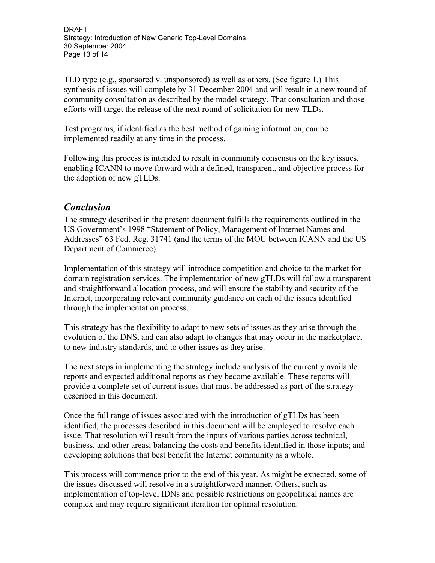DRAFT Strategy: Introduction of New Generic Top-Level Domains 30 September 2004 Page 13 of 14

TLD type (e.g., sponsored v. unsponsored) as well as others. (See figure 1.) This synthesis of issues will complete by 31 December 2004 and will result in a new round of community consultation as described by the model strategy. That consultation and those efforts will target the release of the next round of solicitation for new TLDs.

Test programs, if identified as the best method of gaining information, can be implemented readily at any time in the process.

Following this process is intended to result in community consensus on the key issues, enabling ICANN to move forward with a defined, transparent, and objective process for the adoption of new gTLDs.

# *Conclusion*

The strategy described in the present document fulfills the requirements outlined in the US Government's 1998 "Statement of Policy, Management of Internet Names and Addresses" 63 Fed. Reg. 31741 (and the terms of the MOU between ICANN and the US Department of Commerce).

Implementation of this strategy will introduce competition and choice to the market for domain registration services. The implementation of new gTLDs will follow a transparent and straightforward allocation process, and will ensure the stability and security of the Internet, incorporating relevant community guidance on each of the issues identified through the implementation process.

This strategy has the flexibility to adapt to new sets of issues as they arise through the evolution of the DNS, and can also adapt to changes that may occur in the marketplace. to new industry standards, and to other issues as they arise.

The next steps in implementing the strategy include analysis of the currently available reports and expected additional reports as they become available. These reports will provide a complete set of current issues that must be addressed as part of the strategy described in this document.

Once the full range of issues associated with the introduction of gTLDs has been identified, the processes described in this document will be employed to resolve each issue. That resolution will result from the inputs of various parties across technical, business, and other areas; balancing the costs and benefits identified in those inputs; and developing solutions that best benefit the Internet community as a whole.

This process will commence prior to the end of this year. As might be expected, some of the issues discussed will resolve in a straightforward manner. Others, such as implementation of top-level IDNs and possible restrictions on geopolitical names are complex and may require significant iteration for optimal resolution.